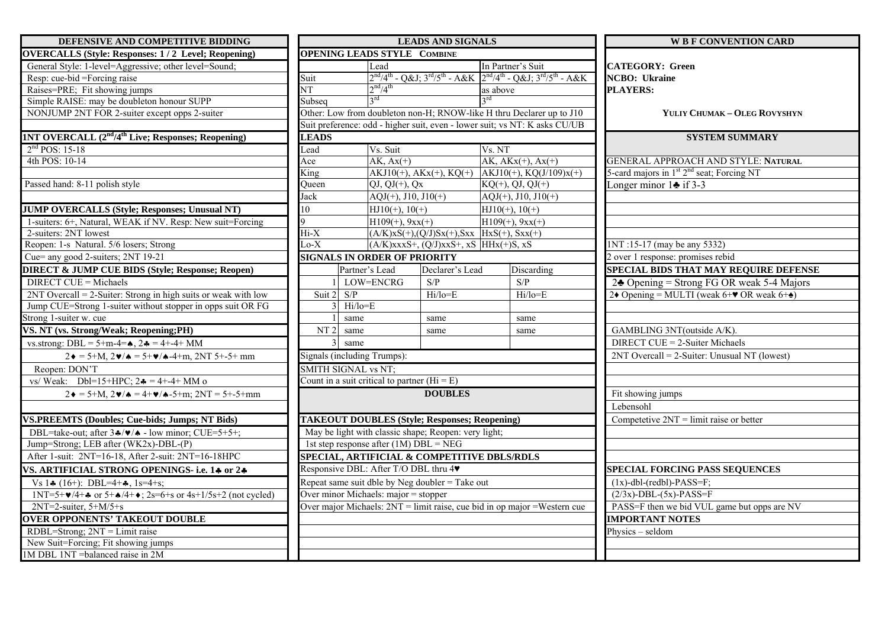| DEFENSIVE AND COMPETITIVE BIDDING                                                                     | <b>LEADS AND SIGNALS</b>                                   |                                             |                                                                                         | <b>W B F CONVENTION CARD</b>                                                   |  |
|-------------------------------------------------------------------------------------------------------|------------------------------------------------------------|---------------------------------------------|-----------------------------------------------------------------------------------------|--------------------------------------------------------------------------------|--|
| <b>OVERCALLS (Style: Responses: 1/2 Level; Reopening)</b>                                             | <b>OPENING LEADS STYLE COMBINE</b>                         |                                             |                                                                                         |                                                                                |  |
| General Style: 1-level=Aggressive; other level=Sound;                                                 | Lead                                                       |                                             | In Partner's Suit                                                                       | <b>CATEGORY: Green</b>                                                         |  |
| Resp: cue-bid =Forcing raise                                                                          | Suit                                                       |                                             | $2^{nd}/4^{th}$ - Q&J $3^{rd}/5^{th}$ - A&K $2^{nd}/4^{th}$ - Q&J $3^{rd}/5^{th}$ - A&K | <b>NCBO</b> : Ukraine                                                          |  |
| Raises=PRE; Fit showing jumps                                                                         | 2 <sup>nd</sup> /4 <sup>th</sup><br>$\overline{\text{NT}}$ |                                             | as above                                                                                | <b>PLAYERS:</b>                                                                |  |
| Simple RAISE: may be doubleton honour SUPP                                                            | $3^{\text{rd}}$<br>Subseq                                  |                                             | $3^{\text{rd}}$                                                                         |                                                                                |  |
| NONJUMP 2NT FOR 2-suiter except opps 2-suiter                                                         |                                                            |                                             | Other: Low from doubleton non-H; RNOW-like H thru Declarer up to J10                    | YULIY CHUMAK - OLEG ROVYSHYN                                                   |  |
|                                                                                                       |                                                            |                                             | Suit preference: odd - higher suit, even - lower suit; vs NT: K asks CU/UB              |                                                                                |  |
| <b>1NT OVERCALL</b> $(2nd/4th$ Live; Responses; Reopening)                                            | <b>LEADS</b>                                               |                                             |                                                                                         | <b>SYSTEM SUMMARY</b>                                                          |  |
| $2nd POS: 15-18$                                                                                      | Vs. Suit<br>Lead                                           |                                             | Vs. NT                                                                                  |                                                                                |  |
| 4th POS: 10-14                                                                                        | $AK, Ax(+)$<br>Ace                                         |                                             | $AK, AKx(+), Ax(+)$                                                                     | <b>GENERAL APPROACH AND STYLE: NATURAL</b>                                     |  |
|                                                                                                       | King                                                       |                                             | $AKJ10(+)$ , $AKx(+)$ , $KQ(+)$ $AKJ10(+)$ , $KQ(J/109)x(+)$                            | 5-card majors in 1 <sup>st</sup> 2 <sup>nd</sup> seat; Forcing NT              |  |
| Passed hand: 8-11 polish style                                                                        | Queen<br>$QJ, QJ(+), Qx$                                   |                                             | $KQ(+), QJ, QJ(+)$                                                                      | Longer minor $1 \triangleq$ if 3-3                                             |  |
|                                                                                                       | $AQJ(+)$ , J10, J10(+)<br>Jack                             |                                             | $AQJ(+)$ , J10, J10(+)                                                                  |                                                                                |  |
| <b>JUMP OVERCALLS (Style; Responses; Unusual NT)</b>                                                  | 10<br>$HJ10(+), 10(+)$                                     |                                             | $HJ10(+)$ , 10(+)                                                                       |                                                                                |  |
| 1-suiters: 6+, Natural, WEAK if NV. Resp: New suit=Forcing                                            | 9<br>$H109(+)$ , $9xx(+)$                                  |                                             | $H109(+)$ , $9xx(+)$                                                                    |                                                                                |  |
| 2-suiters: 2NT lowest                                                                                 | $Hi-X$                                                     |                                             | $(A/K)$ xS(+),(Q/J)Sx(+),Sxx HxS(+), Sxx(+)                                             |                                                                                |  |
| Reopen: 1-s Natural. 5/6 losers; Strong                                                               | $Lo-X$                                                     | $(A/K)$ xxxS+, $(Q/J)$ xxS+, xS HHx(+)S, xS |                                                                                         | 1NT:15-17 (may be any 5332)                                                    |  |
| Cue= any good 2-suiters; 2NT 19-21                                                                    | <b>SIGNALS IN ORDER OF PRIORITY</b>                        |                                             |                                                                                         | 2 over 1 response: promises rebid                                              |  |
| <b>DIRECT &amp; JUMP CUE BIDS (Style; Response; Reopen)</b>                                           | Partner's Lead                                             | Declarer's Lead                             | Discarding                                                                              | SPECIAL BIDS THAT MAY REQUIRE DEFENSE                                          |  |
| <b>DIRECT CUE = Michaels</b>                                                                          | LOW=ENCRG                                                  | S/P                                         | S/P                                                                                     | $2\clubsuit$ Opening = Strong FG OR weak 5-4 Majors                            |  |
| $2NT$ Overcall = 2-Suiter: Strong in high suits or weak with low                                      | S/P<br>Suit 2                                              | Hi/lo=E                                     | Hi/lo=E                                                                                 | 2• Opening = MULTI (weak 6+ $\blacktriangledown$ OR weak 6+ $\blacktriangle$ ) |  |
| Jump CUE=Strong 1-suiter without stopper in opps suit OR FG                                           | Hi/lo=E                                                    |                                             |                                                                                         |                                                                                |  |
| Strong 1-suiter w. cue                                                                                | same                                                       | same                                        | same                                                                                    |                                                                                |  |
| VS. NT (vs. Strong/Weak; Reopening;PH)                                                                | NT <sub>2</sub><br>same                                    | same                                        | same                                                                                    | GAMBLING 3NT(outside A/K).                                                     |  |
| vs.strong: DBL = $5+m-4=$ $\clubsuit$ , $2\clubsuit = 4+-4+$ MM                                       | same                                                       |                                             |                                                                                         | DIRECT CUE = 2-Suiter Michaels                                                 |  |
| $2\bullet = 5 + M$ , $2\bullet / \bullet = 5 + \bullet / \bullet - 4 + m$ , $2NT 5 + -5 + mm$         | Signals (including Trumps):                                |                                             |                                                                                         | $2NT$ Overcall = 2-Suiter: Unusual NT (lowest)                                 |  |
| Reopen: DON'T                                                                                         | <b>SMITH SIGNAL vs NT;</b>                                 |                                             |                                                                                         |                                                                                |  |
| vs/ Weak: Dbl=15+HPC; $2 \cdot = 4 + -4 + MM$ o                                                       | Count in a suit critical to partner ( $Hi = E$ )           |                                             |                                                                                         |                                                                                |  |
| $2\bullet = 5 + M$ , $2\bullet / \bullet = 4 + \bullet / \bullet - 5 + m$ ; $2NT = 5 + -5 + mm$       | <b>DOUBLES</b>                                             |                                             |                                                                                         | Fit showing jumps                                                              |  |
|                                                                                                       |                                                            |                                             |                                                                                         | Lebensohl                                                                      |  |
| <b>VS.PREEMTS (Doubles; Cue-bids; Jumps; NT Bids)</b>                                                 | <b>TAKEOUT DOUBLES (Style; Responses; Reopening)</b>       |                                             |                                                                                         | Competetive $2NT = limit$ raise or better                                      |  |
| DBL=take-out; after $3\cdot/\sqrt{2}$ - low minor; CUE=5+5+;                                          | May be light with classic shape; Reopen: very light;       |                                             |                                                                                         |                                                                                |  |
| Jump=Strong; LEB after (WK2x)-DBL-(P)                                                                 | 1st step response after $(1M)$ DBL = NEG                   |                                             |                                                                                         |                                                                                |  |
| After 1-suit: 2NT=16-18, After 2-suit: 2NT=16-18HPC                                                   | SPECIAL, ARTIFICIAL & COMPETITIVE DBLS/RDLS                |                                             |                                                                                         |                                                                                |  |
| VS. ARTIFICIAL STRONG OPENINGS- i.e. 14 or 24                                                         | Responsive DBL: After T/O DBL thru 4                       |                                             |                                                                                         | <b>SPECIAL FORCING PASS SEQUENCES</b>                                          |  |
| Vs $1\clubsuit$ (16+): DBL=4+ $\clubsuit$ , 1s=4+s;                                                   | Repeat same suit dble by Neg doubler = Take out            |                                             |                                                                                         | $(1x)$ -dbl-(redbl)-PASS=F;                                                    |  |
| $1NT=5+\mathbf{v}/4+\mathbf{A}$ or $5+\mathbf{A}/4+\mathbf{e}$ ; $2s=6+s$ or $4s+1/5s+2$ (not cycled) | Over minor Michaels: major = stopper                       |                                             |                                                                                         | $(2/3x)$ -DBL- $(5x)$ -PASS=F                                                  |  |
| $2NT=2$ -suiter, $5+M/5+s$                                                                            |                                                            |                                             | Over major Michaels: 2NT = limit raise, cue bid in op major = Western cue               | PASS=F then we bid VUL game but opps are NV                                    |  |
| <b>OVER OPPONENTS' TAKEOUT DOUBLE</b>                                                                 |                                                            |                                             |                                                                                         | <b>IMPORTANT NOTES</b>                                                         |  |
| $RDBL = Strong$ ; $2NT = Limit raise$                                                                 |                                                            |                                             |                                                                                         | Physics $-$ seldom                                                             |  |
| New Suit=Forcing; Fit showing jumps                                                                   |                                                            |                                             |                                                                                         |                                                                                |  |
| 1M DBL 1NT = balanced raise in 2M                                                                     |                                                            |                                             |                                                                                         |                                                                                |  |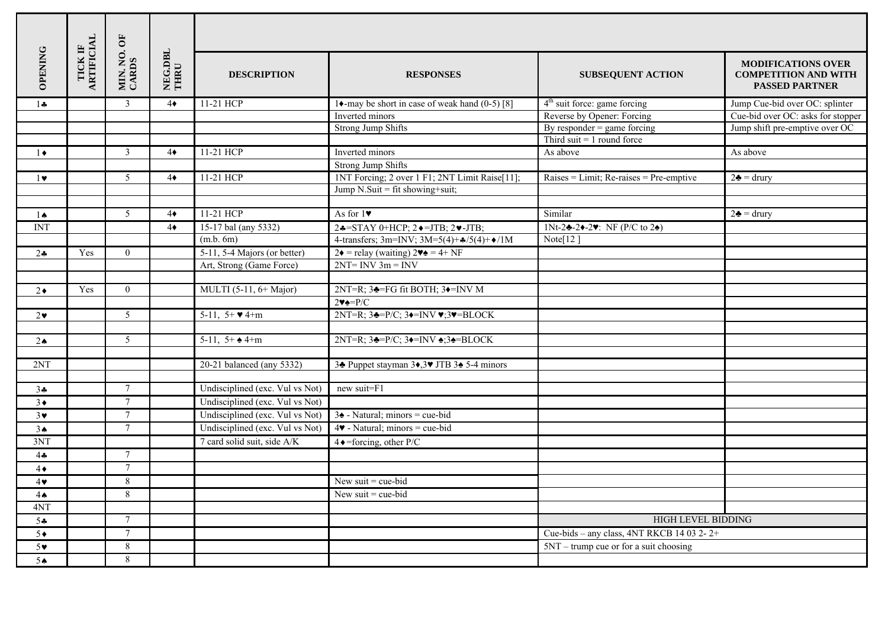|                   |                       | MIN. NO. OF<br>CARDS | NEG.DBL<br>THRU |                                      |                                                                                                                          |                                           |                                                                                   |  |  |  |
|-------------------|-----------------------|----------------------|-----------------|--------------------------------------|--------------------------------------------------------------------------------------------------------------------------|-------------------------------------------|-----------------------------------------------------------------------------------|--|--|--|
| <b>OPENING</b>    | TICK IF<br>ARTIFICIAL |                      |                 | <b>DESCRIPTION</b>                   | <b>RESPONSES</b>                                                                                                         | <b>SUBSEQUENT ACTION</b>                  | <b>MODIFICATIONS OVER</b><br><b>COMPETITION AND WITH</b><br><b>PASSED PARTNER</b> |  |  |  |
| $1 -$             |                       | 3                    | $4\bullet$      | 11-21 HCP                            | 14-may be short in case of weak hand $(0-5)$ [8]                                                                         | 4 <sup>th</sup> suit force: game forcing  | Jump Cue-bid over OC: splinter                                                    |  |  |  |
|                   |                       |                      |                 |                                      | Inverted minors                                                                                                          | Reverse by Opener: Forcing                | Cue-bid over OC: asks for stopper                                                 |  |  |  |
|                   |                       |                      |                 |                                      | <b>Strong Jump Shifts</b>                                                                                                | By responder $=$ game forcing             | Jump shift pre-emptive over OC                                                    |  |  |  |
|                   |                       |                      |                 |                                      |                                                                                                                          | Third suit $= 1$ round force              |                                                                                   |  |  |  |
| $1 \bullet$       |                       | 3                    | $4\bullet$      | 11-21 HCP                            | Inverted minors                                                                                                          | As above                                  | As above                                                                          |  |  |  |
|                   |                       |                      |                 |                                      | <b>Strong Jump Shifts</b>                                                                                                |                                           |                                                                                   |  |  |  |
| $1 \vee$          |                       | 5                    | $4\bullet$      | 11-21 HCP                            | 1NT Forcing; 2 over 1 F1; 2NT Limit Raise[11];                                                                           | $Raises = Limit; Re-raises = Pre-emptive$ | $2\clubsuit$ = drury                                                              |  |  |  |
|                   |                       |                      |                 |                                      | Jump $N.Suit = fit showing + suit;$                                                                                      |                                           |                                                                                   |  |  |  |
|                   |                       |                      |                 |                                      |                                                                                                                          |                                           |                                                                                   |  |  |  |
| $1 \spadesuit$    |                       | $\overline{5}$       | $4\bullet$      | 11-21 HCP                            | As for $1\blacktriangledown$                                                                                             | Similar                                   | $2\clubsuit = \text{drury}$                                                       |  |  |  |
| <b>INT</b>        |                       |                      | $4\bullet$      | 15-17 bal (any 5332)                 | $2*=STAY$ 0+HCP; $2*=JTB$ ; $2*-JTB$ ;                                                                                   | 1Nt-2 $-2$ -2 $-2$ . NF (P/C to 2 $-2$ )  |                                                                                   |  |  |  |
|                   |                       |                      |                 | (m.b. 6m)                            | 4-transfers; 3m=INV; 3M=5(4)+ $\frac{4}{5}(4)+\frac{1}{2}$ /1M                                                           | Note[ $12$ ]                              |                                                                                   |  |  |  |
| $2\bullet$        | Yes                   | $\Omega$             |                 | 5-11, 5-4 Majors (or better)         | $2\bullet$ = relay (waiting) $2\bullet\bullet$ = 4+ NF                                                                   |                                           |                                                                                   |  |  |  |
|                   |                       |                      |                 | Art, Strong (Game Force)             | $2NT = INV \t3m = INV$                                                                                                   |                                           |                                                                                   |  |  |  |
|                   |                       |                      |                 |                                      |                                                                                                                          |                                           |                                                                                   |  |  |  |
| $2\bullet$        | Yes                   | $\Omega$             |                 | MULTI $(5-11, 6+Major)$              | $2NT=R$ ; $3\triangleleft=FG$ fit BOTH; $3\triangleleft=INV M$                                                           |                                           |                                                                                   |  |  |  |
|                   |                       |                      |                 |                                      | $2 \vee \triangle = P/C$                                                                                                 |                                           |                                                                                   |  |  |  |
| $2\bullet$        |                       | $\mathfrak{H}$       |                 | 5-11, $5+$ $\blacktriangleright$ 4+m | $2NT=R$ ; $3\triangleleft=P/C$ ; $3\triangleleft=INV \blacktriangleright \blacktriangleright 3\blacktriangleright=BLOCK$ |                                           |                                                                                   |  |  |  |
|                   |                       |                      |                 |                                      |                                                                                                                          |                                           |                                                                                   |  |  |  |
| $2 \triangleleft$ |                       | 5                    |                 | 5-11, $5+$ $\triangleq$ 4+m          | $2NT=R$ ; $3\triangleleft=P/C$ ; $3\triangleleft=INV \triangleleft3\triangleleft=BLOCAL$                                 |                                           |                                                                                   |  |  |  |
|                   |                       |                      |                 |                                      |                                                                                                                          |                                           |                                                                                   |  |  |  |
| 2NT               |                       |                      |                 | 20-21 balanced (any 5332)            | 34 Puppet stayman 34,39 JTB 34 5-4 minors                                                                                |                                           |                                                                                   |  |  |  |
|                   |                       |                      |                 |                                      |                                                                                                                          |                                           |                                                                                   |  |  |  |
| $3 +$             |                       | $\tau$               |                 | Undisciplined (exc. Vul vs Not)      | new suit=F1                                                                                                              |                                           |                                                                                   |  |  |  |
| $3\bullet$        |                       | $\tau$               |                 | Undisciplined (exc. Vul vs Not)      |                                                                                                                          |                                           |                                                                                   |  |  |  |
| $3\vee$           |                       | 7                    |                 | Undisciplined (exc. Vul vs Not)      | $3\triangle$ - Natural; minors = cue-bid                                                                                 |                                           |                                                                                   |  |  |  |
| 3 <sub>•</sub>    |                       | $\tau$               |                 | Undisciplined (exc. Vul vs Not)      | $4\blacktriangleright$ - Natural; minors = cue-bid                                                                       |                                           |                                                                                   |  |  |  |
| 3NT               |                       |                      |                 | 7 card solid suit, side A/K          | $4 \triangleleft$ =forcing, other P/C                                                                                    |                                           |                                                                                   |  |  |  |
| $4 -$             |                       | $\tau$               |                 |                                      |                                                                                                                          |                                           |                                                                                   |  |  |  |
| $4\bullet$        |                       | $\tau$               |                 |                                      |                                                                                                                          |                                           |                                                                                   |  |  |  |
| $4\bullet$        |                       | 8                    |                 |                                      | New suit $=$ cue-bid                                                                                                     |                                           |                                                                                   |  |  |  |
| $4 \spadesuit$    |                       | 8                    |                 |                                      | New suit $=$ cue-bid                                                                                                     |                                           |                                                                                   |  |  |  |
| 4NT               |                       |                      |                 |                                      |                                                                                                                          |                                           |                                                                                   |  |  |  |
| 54                |                       | $\tau$               |                 |                                      |                                                                                                                          | <b>HIGH LEVEL BIDDING</b>                 |                                                                                   |  |  |  |
| $5*$              |                       | $\tau$               |                 |                                      |                                                                                                                          | Cue-bids – any class, 4NT RKCB 14 03 2-2+ |                                                                                   |  |  |  |
| $5\vee$           |                       | 8                    |                 |                                      |                                                                                                                          | $5NT -$ trump cue or for a suit choosing  |                                                                                   |  |  |  |
| 5 <sub>th</sub>   |                       | 8                    |                 |                                      |                                                                                                                          |                                           |                                                                                   |  |  |  |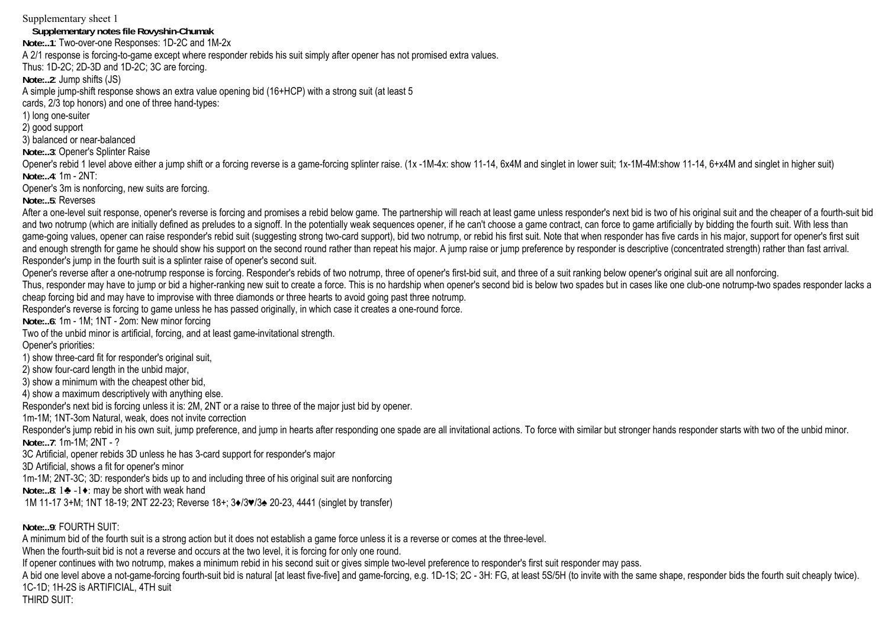Supplementary sheet 1 **Supplementary notes file Rovyshin-Chumak**

**Note:..1**: Two-over-one Responses: 1D-2C and 1M-2x

A 2/1 response is forcing-to-game except where responder rebids his suit simply after opener has not promised extra values.

Thus: 1D-2C; 2D-3D and 1D-2C; 3C are forcing.

**Note:..2**: Jump shifts (JS)

A simple jump-shift response shows an extra value opening bid (16+HCP) with a strong suit (at least 5

cards, 2/3 top honors) and one of three hand-types:

1) long one-suiter

2) good support

3) balanced or near-balanced

**Note:..3**: Opener's Splinter Raise

Opener's rebid 1 level above either a jump shift or a forcing reverse is a game-forcing splinter raise. (1x -1M-4x: show 11-14, 6x4M and singlet in lower suit; 1x-1M-4M:show 11-14, 6+x4M and singlet in higher suit) **Note:..4**: 1m - 2NT:

Opener's 3m is nonforcing, new suits are forcing.

**Note:..5**: Reverses

After a one-level suit response, opener's reverse is forcing and promises a rebid below game. The partnership will reach at least game unless responder's next bid is two of his original suit and the cheaper of a fourth-sui and two notrump (which are initially defined as preludes to a signoff. In the potentially weak sequences opener, if he can't choose a game contract, can force to game artificially by bidding the fourth suit. With less than game-going values, opener can raise responder's rebid suit (suggesting strong two-card support), bid two notrump, or rebid his first suit. Note that when responder has five cards in his major, support for opener's first su and enough strength for game he should show his support on the second round rather than repeat his major. A jump raise or jump preference by responder is descriptive (concentrated strength) rather than fast arrival. Responder's jump in the fourth suit is a splinter raise of opener's second suit.

Opener's reverse after a one-notrump response is forcing. Responder's rebids of two notrump, three of opener's first-bid suit, and three of a suit ranking below opener's original suit are all nonforcing. Thus, responder may have to jump or bid a higher-ranking new suit to create a force. This is no hardship when opener's second bid is below two spades but in cases like one club-one notrump-two spades responder lacks a

cheap forcing bid and may have to improvise with three diamonds or three hearts to avoid going past three notrump.

Responder's reverse is forcing to game unless he has passed originally, in which case it creates a one-round force.

**Note:..6**: 1m - 1M; 1NT - 2om: New minor forcing

Two of the unbid minor is artificial, forcing, and at least game-invitational strength.

Opener's priorities:

1) show three-card fit for responder's original suit,

2) show four-card length in the unbid major,

3) show a minimum with the cheapest other bid,

4) show a maximum descriptively with anything else.

Responder's next bid is forcing unless it is: 2M, 2NT or a raise to three of the major just bid by opener.

1m-1M; 1NT-3om Natural, weak, does not invite correction

Responder's jump rebid in his own suit, jump preference, and jump in hearts after responding one spade are all invitational actions. To force with similar but stronger hands responder starts with two of the unbid minor. **Note:..7**: 1m-1M; 2NT - ?

3C Artificial, opener rebids 3D unless he has 3-card support for responder's major

3D Artificial, shows a fit for opener's minor

1m-1M; 2NT-3C; 3D: responder's bids up to and including three of his original suit are nonforcing

**Note:..8**: 1♣ -1♦: may be short with weak hand

1M 11-17 3+M; 1NT 18-19; 2NT 22-23; Reverse 18+; 3♦/3♥/3♠ 20-23, 4441 (singlet by transfer)

Note: 9: FOURTH SUIT:

A minimum bid of the fourth suit is a strong action but it does not establish a game force unless it is a reverse or comes at the three-level.

When the fourth-suit bid is not a reverse and occurs at the two level, it is forcing for only one round.

If opener continues with two notrump, makes a minimum rebid in his second suit or gives simple two-level preference to responder's first suit responder may pass.

A bid one level above a not-game-forcing fourth-suit bid is natural [at least five-five] and game-forcing, e.g. 1D-1S; 2C - 3H: FG, at least 5S/5H (to invite with the same shape, responder bids the fourth suit cheaply twic 1C-1D; 1H-2S is ARTIFICIAL, 4TH suit

THIRD SUIT: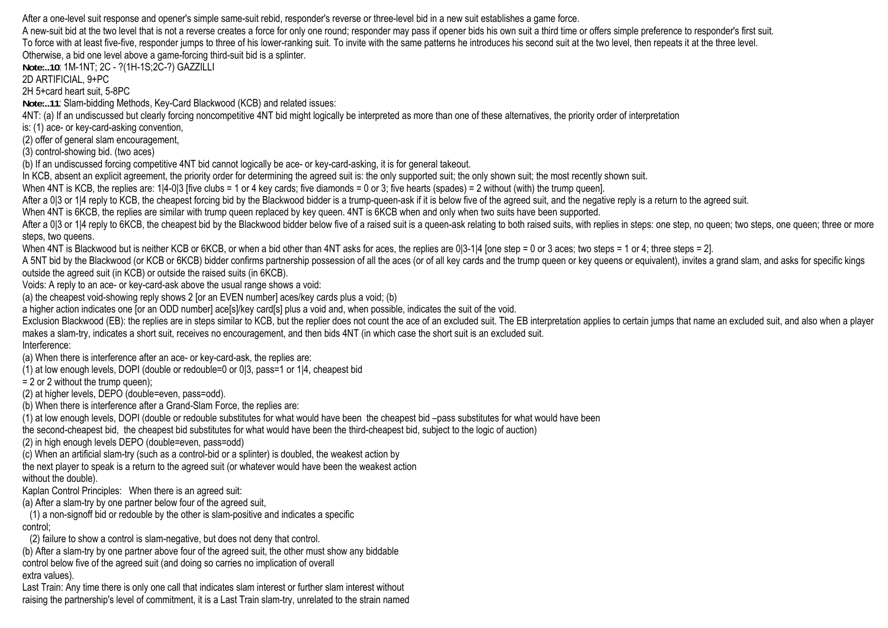After a one-level suit response and opener's simple same-suit rebid, responder's reverse or three-level bid in a new suit establishes a game force.

A new-suit bid at the two level that is not a reverse creates a force for only one round; responder may pass if opener bids his own suit a third time or offers simple preference to responder's first suit. To force with at least five-five, responder jumps to three of his lower-ranking suit. To invite with the same patterns he introduces his second suit at the two level, then repeats it at the three level. Otherwise, a bid one level above a game-forcing third-suit bid is a splinter.

**Note:..10**: 1M-1NT; 2C - ?(1H-1S;2C-?) GAZZILLI

2D ARTIFICIAL, 9+PC

2H 5+card heart suit, 5-8PC

**Note:..11**: Slam-bidding Methods, Key-Card Blackwood (KCB) and related issues:

4NT: (a) If an undiscussed but clearly forcing noncompetitive 4NT bid might logically be interpreted as more than one of these alternatives, the priority order of interpretation

is: (1) ace- or key-card-asking convention,

(2) offer of general slam encouragement,

(3) control-showing bid. (two aces)

(b) If an undiscussed forcing competitive 4NT bid cannot logically be ace- or key-card-asking, it is for general takeout.

In KCB, absent an explicit agreement, the priority order for determining the agreed suit is: the only supported suit; the only shown suit; the most recently shown suit.

When 4NT is KCB, the replies are: 1|4-0|3 [five clubs = 1 or 4 key cards; five diamonds = 0 or 3; five hearts (spades) = 2 without (with) the trump queen].

After a 0|3 or 1|4 reply to KCB, the cheapest forcing bid by the Blackwood bidder is a trump-queen-ask if it is below five of the agreed suit, and the negative reply is a return to the agreed suit.

When 4NT is 6KCB, the replies are similar with trump queen replaced by key queen. 4NT is 6KCB when and only when two suits have been supported.

After a 013 or 114 reply to 6KCB, the cheapest bid by the Blackwood bidder below five of a raised suit is a queen-ask relating to both raised suits, with replies in steps: one step, no queen; two steps, one queen; three or steps, two queens.

When 4NT is Blackwood but is neither KCB or 6KCB, or when a bid other than 4NT asks for aces, the replies are 0|3-1|4 [one step = 0 or 3 aces; two steps = 1 or 4; three steps = 2].

A 5NT bid by the Blackwood (or KCB or 6KCB) bidder confirms partnership possession of all the aces (or of all key cards and the trump queen or key queens or equivalent), invites a grand slam, and asks for specific kings outside the agreed suit (in KCB) or outside the raised suits (in 6KCB).

Voids: A reply to an ace- or key-card-ask above the usual range shows a void:

(a) the cheapest void-showing reply shows 2 [or an EVEN number] aces/key cards plus a void; (b)

a higher action indicates one [or an ODD number] ace[s]/key card[s] plus a void and, when possible, indicates the suit of the void.

Exclusion Blackwood (EB): the replies are in steps similar to KCB, but the replier does not count the ace of an excluded suit. The EB interpretation applies to certain jumps that name an excluded suit, and also when a play makes a slam-try, indicates a short suit, receives no encouragement, and then bids 4NT (in which case the short suit is an excluded suit.

## Interference:

(a) When there is interference after an ace- or key-card-ask, the replies are:

(1) at low enough levels, DOPI (double or redouble=0 or 0|3, pass=1 or 1|4, cheapest bid

 $= 2$  or 2 without the trump queen):

(2) at higher levels, DEPO (double=even, pass=odd).

(b) When there is interference after a Grand-Slam Force, the replies are:

(1) at low enough levels, DOPI (double or redouble substitutes for what would have been the cheapest bid –pass substitutes for what would have been

the second-cheapest bid, the cheapest bid substitutes for what would have been the third-cheapest bid, subject to the logic of auction)

(2) in high enough levels DEPO (double=even, pass=odd)

(c) When an artificial slam-try (such as a control-bid or a splinter) is doubled, the weakest action by

the next player to speak is a return to the agreed suit (or whatever would have been the weakest action without the double).

Kaplan Control Principles: When there is an agreed suit:

(a) After a slam-try by one partner below four of the agreed suit,

 (1) a non-signoff bid or redouble by the other is slam-positive and indicates a specific control;

(2) failure to show a control is slam-negative, but does not deny that control.

(b) After a slam-try by one partner above four of the agreed suit, the other must show any biddable

control below five of the agreed suit (and doing so carries no implication of overall extra values).

Last Train: Any time there is only one call that indicates slam interest or further slam interest without raising the partnership's level of commitment, it is a Last Train slam-try, unrelated to the strain named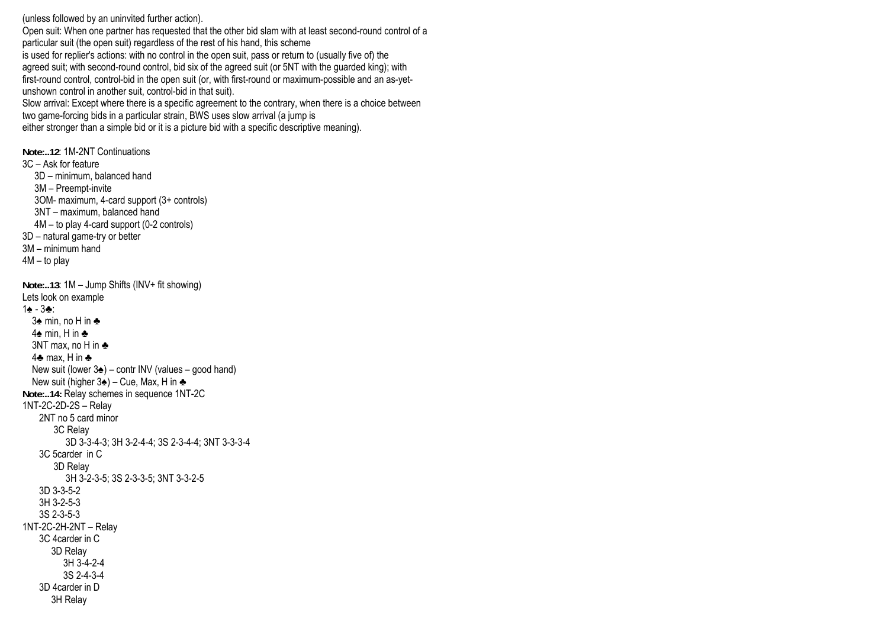(unless followed by an uninvited further action).

Open suit: When one partner has requested that the other bid slam with at least second-round control of a particular suit (the open suit) regardless of the rest of his hand, this scheme is used for replier's actions: with no control in the open suit, pass or return to (usually five of) the agreed suit; with second-round control, bid six of the agreed suit (or 5NT with the guarded king); with first-round control, control-bid in the open suit (or, with first-round or maximum-possible and an as-yetunshown control in another suit, control-bid in that suit).

Slow arrival: Except where there is a specific agreement to the contrary, when there is a choice between two game-forcing bids in a particular strain, BWS uses slow arrival (a jump is

either stronger than a simple bid or it is a picture bid with a specific descriptive meaning).

**Note:..12**: 1M-2NT Continuations 3C – Ask for feature 3D – minimum, balanced hand 3M – Preempt-invite 3OM- maximum, 4-card support (3+ controls) 3NT – maximum, balanced hand 4M – to play 4-card support (0-2 controls) 3D – natural game-try or better 3M – minimum hand 4M – to play **Note:..13**: 1M – Jump Shifts (INV+ fit showing) Lets look on example 1♠ - 3♣: 3♠ min, no H in ♣ 4♠ min, H in ♣ 3NT max, no H in ♣ 4♣ max, H in ♣ New suit (lower  $3\triangleq$ ) – contr INV (values – good hand) New suit (higher 3♠) – Cue, Max, H in ♣ **Note:..14:** Relay schemes in sequence 1NT-2C 1NT-2C-2D-2S – Relay 2NT no 5 card minor 3C Relay 3D 3-3-4-3; 3H 3-2-4-4; 3S 2-3-4-4; 3NT 3-3-3-4 3C 5carder in C 3D Relay 3H 3-2-3-5; 3S 2-3-3-5; 3NT 3-3-2-5 3D 3-3-5-2 3H 3-2-5-3 3S 2-3-5-3 1NT-2C-2H-2NT – Relay 3C 4carder in C 3D Relay 3H 3-4-2-4 3S 2-4-3-4 3D 4carder in D 3H Relay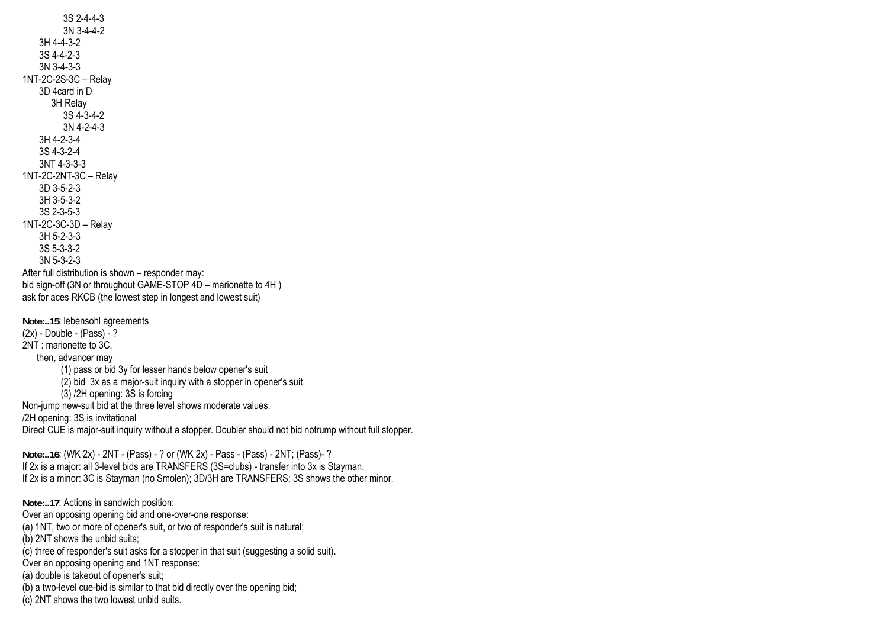3S 2-4-4-3 3N 3-4-4-2 3H 4-4-3-2 3S 4-4-2-3 3N 3-4-3-3 1NT-2C-2S-3C – Relay 3D 4card in D 3H Relay 3S 4-3-4-2 3N 4-2-4-3 3H 4-2-3-4 3S 4-3-2-4 3NT 4-3-3-3 1NT-2C-2NT-3C – Relay 3D 3-5-2-3 3H 3-5-3-2 3S 2-3-5-3 1NT-2C-3C-3D – Relay 3H 5-2-3-3 3S 5-3-3-2 3N 5-3-2-3 After full distribution is shown – responder may: bid sign-off (3N or throughout GAME-STOP  $4D$  – marionette to  $4H$ ) ask for aces RKCB (the lowest step in longest and lowest suit) **Note:..15**: lebensohl agreements  $(2x)$  - Double - (Pass) - ? 2NT : marionette to 3C, then, advancer may (1) pass or bid 3y for lesser hands below opener's suit (2) bid 3x as a major-suit inquiry with a stopper in opener's suit (3) /2H opening: 3S is forcing Non-jump new-suit bid at the three level shows moderate values. /2H opening: 3S is invitational Direct CUE is major-suit inquiry without a stopper. Doubler should not bid notrump without full stopper. **Note:..16**: (WK 2x) - 2NT - (Pass) - ? or (WK 2x) - Pass - (Pass) - 2NT; (Pass)- ? If 2x is a major: all 3-level bids are TRANSFERS (3S=clubs) - transfer into 3x is Stayman. If 2x is a minor: 3C is Stayman (no Smolen); 3D/3H are TRANSFERS; 3S shows the other minor. **Note:..17**: Actions in sandwich position: Over an opposing opening bid and one-over-one response: (a) 1NT, two or more of opener's suit, or two of responder's suit is natural; (b) 2NT shows the unbid suits; (c) three of responder's suit asks for a stopper in that suit (suggesting a solid suit). Over an opposing opening and 1NT response: (a) double is takeout of opener's suit; (b) a two-level cue-bid is similar to that bid directly over the opening bid; (c) 2NT shows the two lowest unbid suits.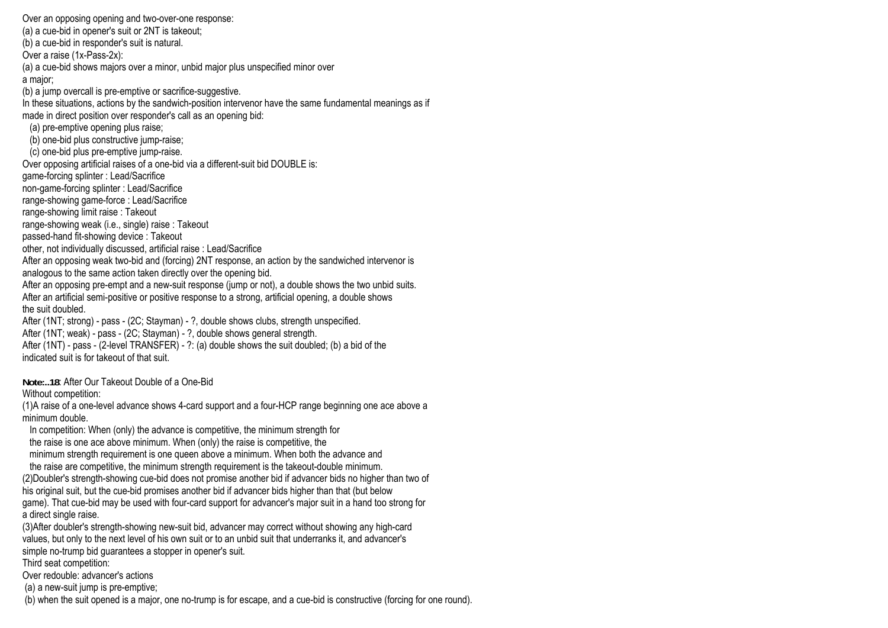Over an opposing opening and two-over-one response: (a) a cue-bid in opener's suit or 2NT is takeout; (b) a cue-bid in responder's suit is natural. Over a raise (1x-Pass-2x): (a) a cue-bid shows majors over a minor, unbid major plus unspecified minor over a major; (b) a jump overcall is pre-emptive or sacrifice-suggestive. In these situations, actions by the sandwich-position intervenor have the same fundamental meanings as if made in direct position over responder's call as an opening bid: (a) pre-emptive opening plus raise; (b) one-bid plus constructive jump-raise; (c) one-bid plus pre-emptive jump-raise. Over opposing artificial raises of a one-bid via a different-suit bid DOUBLE is: game-forcing splinter : Lead/Sacrifice non-game-forcing splinter : Lead/Sacrifice range-showing game-force : Lead/Sacrifice range-showing limit raise : Takeout range-showing weak (i.e., single) raise : Takeout passed-hand fit-showing device : Takeout other, not individually discussed, artificial raise : Lead/Sacrifice After an opposing weak two-bid and (forcing) 2NT response, an action by the sandwiched intervenor is analogous to the same action taken directly over the opening bid. After an opposing pre-empt and a new-suit response (jump or not), a double shows the two unbid suits. After an artificial semi-positive or positive response to a strong, artificial opening, a double shows the suit doubled. After (1NT; strong) - pass - (2C; Stayman) - ?, double shows clubs, strength unspecified. After (1NT; weak) - pass - (2C; Stayman) - ?, double shows general strength. After (1NT) - pass - (2-level TRANSFER) - ?: (a) double shows the suit doubled; (b) a bid of the indicated suit is for takeout of that suit.

**Note:..18**: After Our Takeout Double of a One-Bid

Without competition:

(1)A raise of a one-level advance shows 4-card support and a four-HCP range beginning one ace above a minimum double.

In competition: When (only) the advance is competitive, the minimum strength for the raise is one ace above minimum. When (only) the raise is competitive, the

minimum strength requirement is one queen above a minimum. When both the advance and

 the raise are competitive, the minimum strength requirement is the takeout-double minimum. (2)Doubler's strength-showing cue-bid does not promise another bid if advancer bids no higher than two of his original suit, but the cue-bid promises another bid if advancer bids higher than that (but below game). That cue-bid may be used with four-card support for advancer's major suit in a hand too strong for a direct single raise.

(3)After doubler's strength-showing new-suit bid, advancer may correct without showing any high-card values, but only to the next level of his own suit or to an unbid suit that underranks it, and advancer's simple no-trump bid guarantees a stopper in opener's suit.

Third seat competition:

Over redouble: advancer's actions

(a) a new-suit jump is pre-emptive;

(b) when the suit opened is a major, one no-trump is for escape, and a cue-bid is constructive (forcing for one round).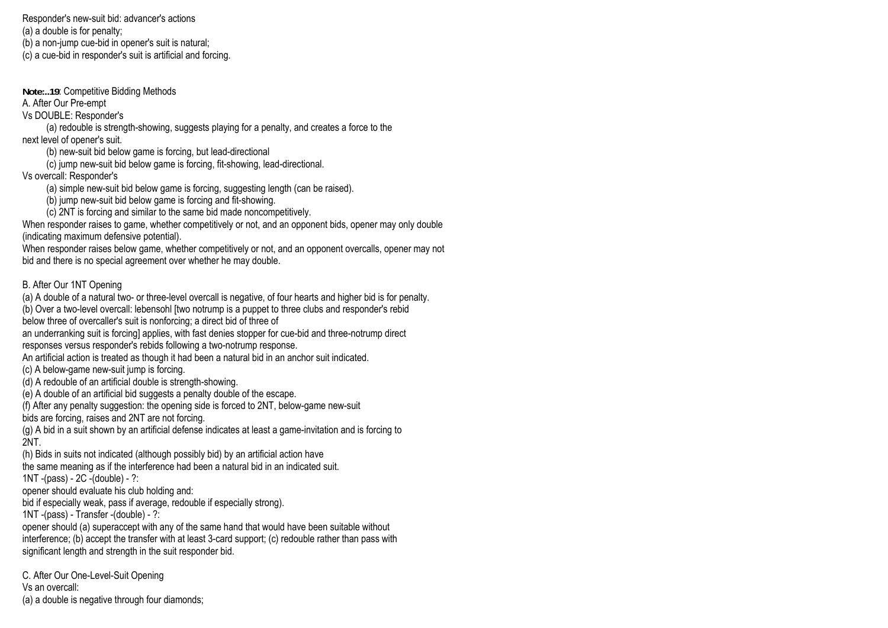Responder's new-suit bid: advancer's actions (a) a double is for penalty; (b) a non-jump cue-bid in opener's suit is natural; (c) a cue-bid in responder's suit is artificial and forcing.

**Note:..19**: Competitive Bidding Methods

A. After Our Pre-empt

Vs DOUBLE: Responder's

 (a) redouble is strength-showing, suggests playing for a penalty, and creates a force to the next level of opener's suit.

(b) new-suit bid below game is forcing, but lead-directional

(c) jump new-suit bid below game is forcing, fit-showing, lead-directional.

Vs overcall: Responder's

(a) simple new-suit bid below game is forcing, suggesting length (can be raised).

(b) jump new-suit bid below game is forcing and fit-showing.

(c) 2NT is forcing and similar to the same bid made noncompetitively.

When responder raises to game, whether competitively or not, and an opponent bids, opener may only double (indicating maximum defensive potential).

When responder raises below game, whether competitively or not, and an opponent overcalls, opener may not bid and there is no special agreement over whether he may double.

## B. After Our 1NT Opening

(a) A double of a natural two- or three-level overcall is negative, of four hearts and higher bid is for penalty. (b) Over a two-level overcall: lebensohl [two notrump is a puppet to three clubs and responder's rebid

below three of overcaller's suit is nonforcing; a direct bid of three of

an underranking suit is forcing applies, with fast denies stopper for cue-bid and three-notrump direct responses versus responder's rebids following a two-notrump response.

An artificial action is treated as though it had been a natural bid in an anchor suit indicated.

(c) A below-game new-suit jump is forcing.

(d) A redouble of an artificial double is strength-showing.

(e) A double of an artificial bid suggests a penalty double of the escape.

(f) After any penalty suggestion: the opening side is forced to 2NT, below-game new-suit

bids are forcing, raises and 2NT are not forcing.

(g) A bid in a suit shown by an artificial defense indicates at least a game-invitation and is forcing to 2NT.

(h) Bids in suits not indicated (although possibly bid) by an artificial action have

the same meaning as if the interference had been a natural bid in an indicated suit. 1NT -(pass) - 2C -(double) - ?:

opener should evaluate his club holding and:

bid if especially weak, pass if average, redouble if especially strong).

1NT -(pass) - Transfer -(double) - ?:

opener should (a) superaccept with any of the same hand that would have been suitable without interference; (b) accept the transfer with at least 3-card support; (c) redouble rather than pass with significant length and strength in the suit responder bid.

C. After Our One-Level-Suit Opening Vs an overcall: (a) a double is negative through four diamonds;